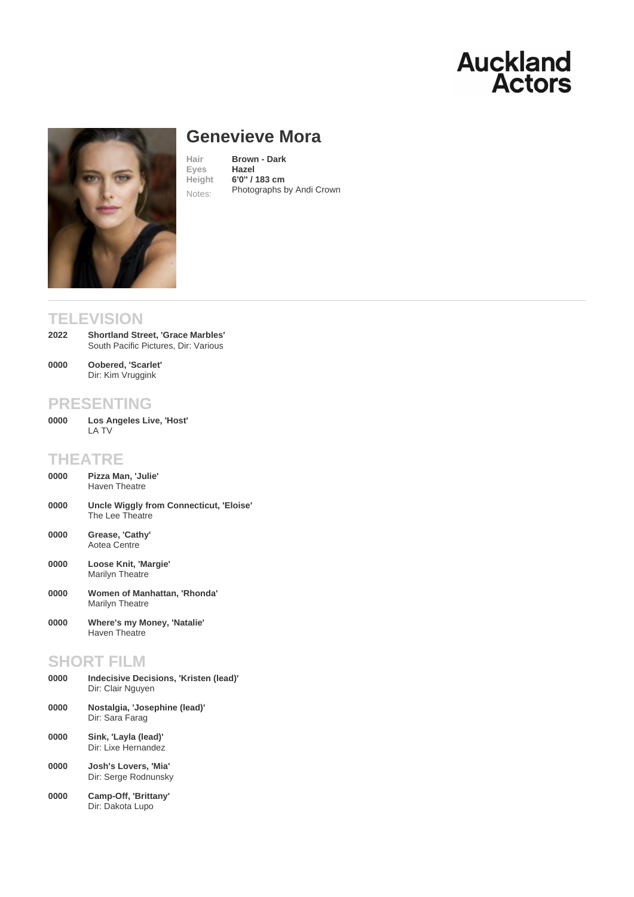# Genevieve Mora

Hair **Brown - Dark**<br>Eves **Hazel** Eyes Height 6'0'' / 183 cm Notes: [Photographs by Andi C](/actors/details/genevieve-mora)rown

# **TELEVISION**

- Shortland Street, 'Grace Marbles' South Pacific Pictures, Dir: Various 2022
- Oobered, 'Scarlet' Dir: Kim Vruggink 0000

# PRESENTING

Los Angeles Live, 'Host' LA TV 0000

# THEATRE

- Pizza Man, 'Julie' Haven Theatre 0000
- Uncle Wiggly from Connecticut, 'Eloise' The Lee Theatre 0000
- Grease, 'Cathy' Aotea Centre 0000
- Loose Knit, 'Margie' Marilyn Theatre 0000
- Women of Manhattan, 'Rhonda' Marilyn Theatre 0000
- Where's my Money, 'Natalie' Haven Theatre 0000

### SHORT FILM

| 0000 | Indecisive Decisions, 'Kristen (lead)'<br>Dir: Clair Nguyen |
|------|-------------------------------------------------------------|
| 0000 | Nostalgia, 'Josephine (lead)'<br>Dir: Sara Farag            |
| 0000 | Sink, 'Layla (lead)'<br>Dir: Lixe Hernandez                 |
| 0000 | Josh's Lovers. 'Mia'<br>Dir: Serge Rodnunsky                |
|      |                                                             |

Camp-Off, 'Brittany' Dir: Dakota Lupo 0000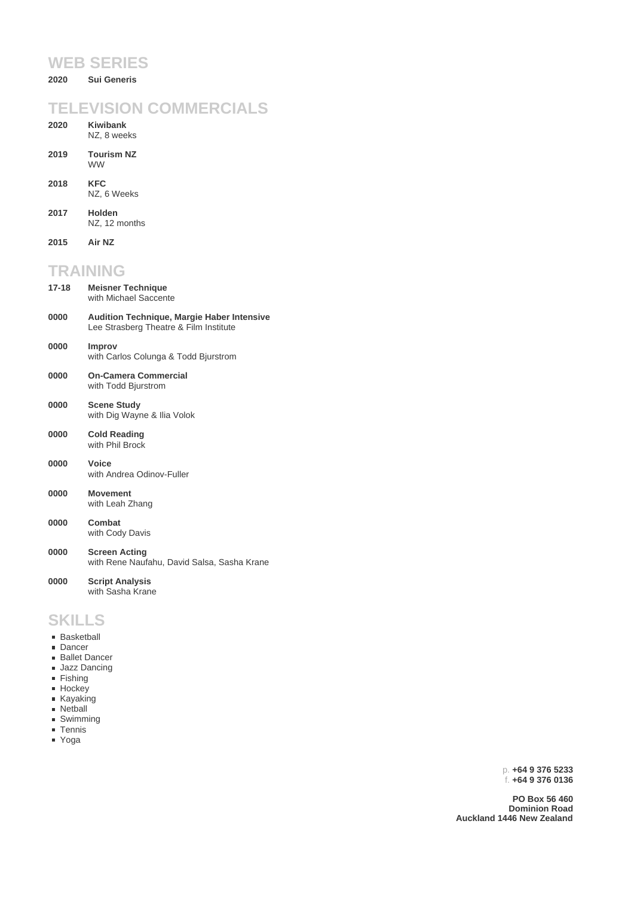#### **WEB SERIES**

**2020 Sui Generis**

#### **TELEVISION COMMERCIALS**

| <b>TELEVISION COMMERCIALS</b> |                                                                                             |
|-------------------------------|---------------------------------------------------------------------------------------------|
| 2020                          | <b>Kiwibank</b><br>NZ, 8 weeks                                                              |
| 2019                          | <b>Tourism NZ</b><br><b>WW</b>                                                              |
| 2018                          | <b>KFC</b><br>NZ, 6 Weeks                                                                   |
| 2017                          | Holden<br>NZ, 12 months                                                                     |
| 2015                          | Air NZ                                                                                      |
| <b>TRAINING</b>               |                                                                                             |
| $17 - 18$                     | <b>Meisner Technique</b><br>with Michael Saccente                                           |
| 0000                          | <b>Audition Technique, Margie Haber Intensive</b><br>Lee Strasberg Theatre & Film Institute |
| 0000                          | Improv<br>with Carlos Colunga & Todd Bjurstrom                                              |
| 0000                          | <b>On-Camera Commercial</b><br>with Todd Bjurstrom                                          |
| 0000                          | <b>Scene Study</b><br>with Dig Wayne & Ilia Volok                                           |
| 0000                          | <b>Cold Reading</b><br>with Phil Brock                                                      |
| 0000                          | Voice<br>with Andrea Odinov-Fuller                                                          |
| 0000                          | <b>Movement</b><br>with Leah Zhang                                                          |
| 0000                          | Combat<br>with Cody Davis                                                                   |
|                               |                                                                                             |

**Screen Acting** with Rene Naufahu, David Salsa, Sasha Krane **0000**

**Script Analysis** with Sasha Krane **0000**

### **SKILLS**

- **Basketball**
- Dancer
- **Ballet Dancer**
- **Jazz Dancing**
- **Fishing**
- **Hockey Kayaking**
- **Netball**
- Swimming
- Tennis
- Yoga

p. **+64 9 376 5233** f. **+64 9 376 0136**

**PO Box 56 460 Dominion Road Auckland 1446 New Zealand**